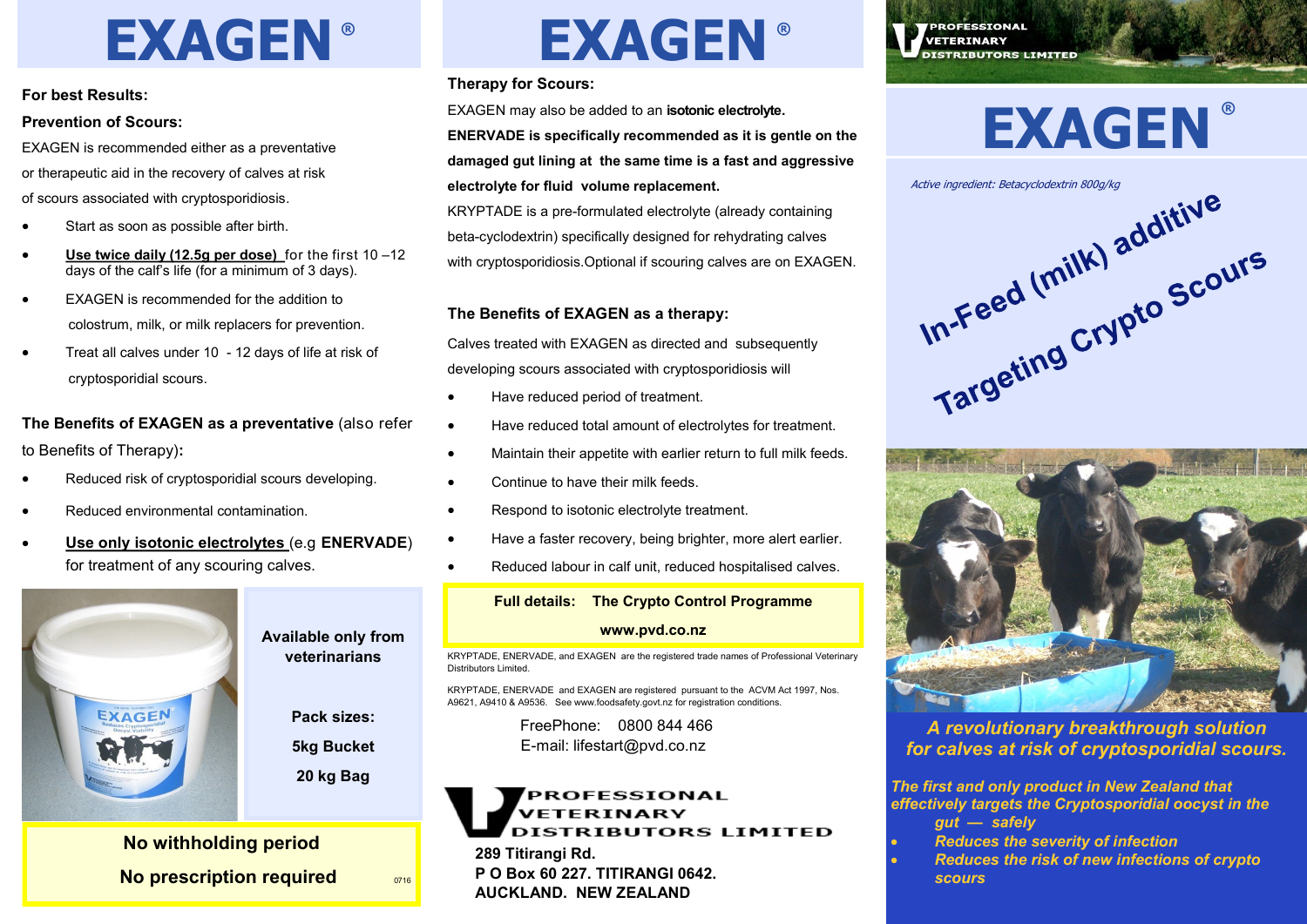# **EXAGEN ®**

#### **For best Results:**

#### **Prevention of Scours:**

EXAGEN is recommended either as a preventative or therapeutic aid in the recovery of calves at risk of scours associated with cryptosporidiosis.

- Start as soon as possible after birth.
- **Use twice daily (12.5g per dose)** for the first 10 –12 days of the calf's life (for a minimum of 3 days).
- EXAGEN is recommended for the addition to colostrum, milk, or milk replacers for prevention.
- Treat all calves under 10 12 days of life at risk of cryptosporidial scours.

## **The Benefits of EXAGEN as a preventative** (also refer to Benefits of Therapy)**:**

- Reduced risk of cryptosporidial scours developing.
- Reduced environmental contamination.
- **Use only isotonic electrolytes** (e.g **ENERVADE**) for treatment of any scouring calves.



**veterinarians**

**Pack sizes:** 

**5kg Bucket** 

**20 kg Bag**

# **No withholding period No prescription required**  $\frac{0716}{0716}$

# **EXAGEN ®**

### **Therapy for Scours:**

EXAGEN may also be added to an **isotonic electrolyte.** 

**ENERVADE is specifically recommended as it is gentle on the damaged gut lining at the same time is a fast and aggressive electrolyte for fluid volume replacement.**

KRYPTADE is a pre-formulated electrolyte (already containing beta-cyclodextrin) specifically designed for rehydrating calves with cryptosporidiosis.Optional if scouring calves are on EXAGEN.

### **The Benefits of EXAGEN as a therapy:**

Calves treated with EXAGEN as directed and subsequently developing scours associated with cryptosporidiosis will

- Have reduced period of treatment.
- Have reduced total amount of electrolytes for treatment.
- Maintain their appetite with earlier return to full milk feeds.
- Continue to have their milk feeds.
- Respond to isotonic electrolyte treatment.
- Have a faster recovery, being brighter, more alert earlier.
- Reduced labour in calf unit, reduced hospitalised calves.

# **Full details: The Crypto Control Programme www.pvd.co.nz**

KRYPTADE, ENERVADE, and EXAGEN are the registered trade names of Professional Veterinary Distributors Limited.

KRYPTADE, ENERVADE and EXAGEN are registered pursuant to the ACVM Act 1997, Nos. A9621, A9410 & A9536. See www.foodsafety.govt.nz for registration conditions.

> FreePhone: 0800 844 466 E-mail: lifestart@pvd.co.nz

# PROFESSIONAL VETERINARY **DISTRIBUTORS LIMITED**

**289 Titirangi Rd. P O Box 60 227. TITIRANGI 0642. AUCKLAND. NEW ZEALAND**

**PROFESSIONAL VETERINARY DISTRIBUTORS LIMITED** 

# **EXAGEN ®**





*A revolutionary breakthrough solution for calves at risk of cryptosporidial scours.*

*The first and only product in New Zealand that effectively targets the Cryptosporidial oocyst in the gut — safely*

- *Reduces the severity of infection*
- *Reduces the risk of new infections of crypto scours*